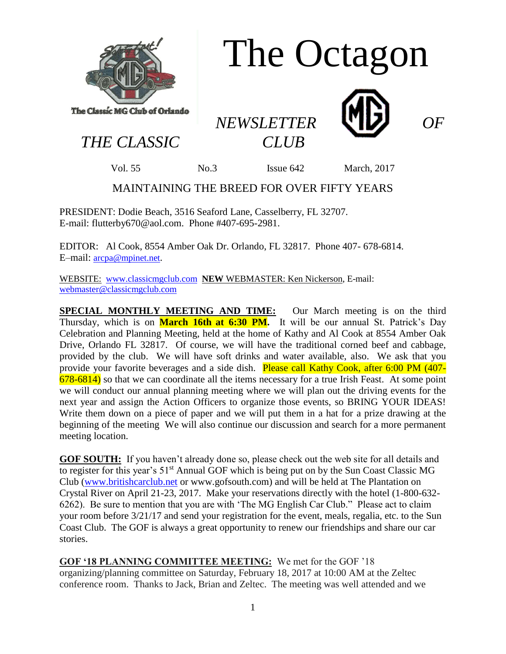

## The Octagon

*NEWSLETTER OF* 



*THE CLASSIC CLUB*

Vol. 55 No.3 Issue 642 March, 2017

## MAINTAINING THE BREED FOR OVER FIFTY YEARS

PRESIDENT: Dodie Beach, 3516 Seaford Lane, Casselberry, FL 32707. E-mail: flutterby670@aol.com. Phone #407-695-2981.

EDITOR: Al Cook, 8554 Amber Oak Dr. Orlando, FL 32817. Phone 407- 678-6814. E–mail: [arcpa@mpinet.net](mailto:arcpa@mpinet.net).

WEBSITE: [www.classicmgclub.com](http://www.classicmgclub.com/) **NEW** WEBMASTER: Ken Nickerson, E-mail: [webmaster@classicmgclub.com](mailto:webmaster@classicmgclub.com)

**SPECIAL MONTHLY MEETING AND TIME:** Our March meeting is on the third Thursday, which is on **March 16th at 6:30 PM.** It will be our annual St. Patrick's Day Celebration and Planning Meeting, held at the home of Kathy and Al Cook at 8554 Amber Oak Drive, Orlando FL 32817. Of course, we will have the traditional corned beef and cabbage, provided by the club. We will have soft drinks and water available, also. We ask that you provide your favorite beverages and a side dish. Please call Kathy Cook, after 6:00 PM (407- $678-6814$ ) so that we can coordinate all the items necessary for a true Irish Feast. At some point we will conduct our annual planning meeting where we will plan out the driving events for the next year and assign the Action Officers to organize those events, so BRING YOUR IDEAS! Write them down on a piece of paper and we will put them in a hat for a prize drawing at the beginning of the meeting We will also continue our discussion and search for a more permanent meeting location.

**GOF SOUTH:** If you haven't already done so, please check out the web site for all details and to register for this year's 51<sup>st</sup> Annual GOF which is being put on by the Sun Coast Classic MG Club [\(www.britishcarclub.net](http://www.britishcarclub.net/) or www.gofsouth.com) and will be held at The Plantation on Crystal River on April 21-23, 2017. Make your reservations directly with the hotel (1-800-632- 6262). Be sure to mention that you are with 'The MG English Car Club." Please act to claim your room before 3/21/17 and send your registration for the event, meals, regalia, etc. to the Sun Coast Club. The GOF is always a great opportunity to renew our friendships and share our car stories.

**GOF '18 PLANNING COMMITTEE MEETING:** We met for the GOF '18 organizing/planning committee on Saturday, February 18, 2017 at 10:00 AM at the Zeltec conference room. Thanks to Jack, Brian and Zeltec. The meeting was well attended and we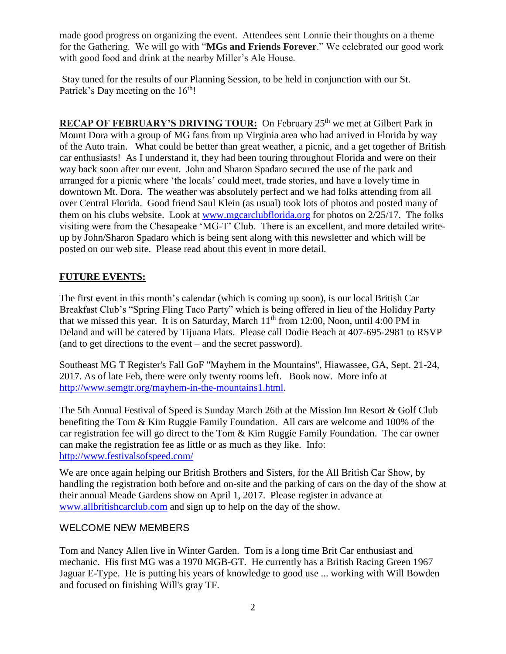made good progress on organizing the event. Attendees sent Lonnie their thoughts on a theme for the Gathering. We will go with "**MGs and Friends Forever**." We celebrated our good work with good food and drink at the nearby Miller's Ale House.

Stay tuned for the results of our Planning Session, to be held in conjunction with our St. Patrick's Day meeting on the  $16<sup>th</sup>!$ 

**RECAP OF FEBRUARY'S DRIVING TOUR:** On February 25<sup>th</sup> we met at Gilbert Park in Mount Dora with a group of MG fans from up Virginia area who had arrived in Florida by way of the Auto train. What could be better than great weather, a picnic, and a get together of British car enthusiasts! As I understand it, they had been touring throughout Florida and were on their way back soon after our event. John and Sharon Spadaro secured the use of the park and arranged for a picnic where 'the locals' could meet, trade stories, and have a lovely time in downtown Mt. Dora. The weather was absolutely perfect and we had folks attending from all over Central Florida. Good friend Saul Klein (as usual) took lots of photos and posted many of them on his clubs website. Look at [www.mgcarclubflorida.org](http://www.mgcarclubflorida.org/) for photos on 2/25/17. The folks visiting were from the Chesapeake 'MG-T' Club. There is an excellent, and more detailed writeup by John/Sharon Spadaro which is being sent along with this newsletter and which will be posted on our web site. Please read about this event in more detail.

## **FUTURE EVENTS:**

The first event in this month's calendar (which is coming up soon), is our local British Car Breakfast Club's "Spring Fling Taco Party" which is being offered in lieu of the Holiday Party that we missed this year. It is on Saturday, March  $11<sup>th</sup>$  from 12:00, Noon, until 4:00 PM in Deland and will be catered by Tijuana Flats. Please call Dodie Beach at 407-695-2981 to RSVP (and to get directions to the event – and the secret password).

Southeast MG T Register's Fall GoF "Mayhem in the Mountains", Hiawassee, GA, Sept. 21-24, 2017. As of late Feb, there were only twenty rooms left. Book now. More info at [http://www.semgtr.org/mayhem-in-the-mountains1.html.](http://www.semgtr.org/mayhem-in-the-mountains1.html)

The 5th Annual Festival of Speed is Sunday March 26th at the Mission Inn Resort & Golf Club benefiting the Tom & Kim Ruggie Family Foundation. All cars are welcome and 100% of the car registration fee will go direct to the Tom & Kim Ruggie Family Foundation. The car owner can make the registration fee as little or as much as they like. Info: <http://www.festivalsofspeed.com/>

We are once again helping our British Brothers and Sisters, for the All British Car Show, by handling the registration both before and on-site and the parking of cars on the day of the show at their annual Meade Gardens show on April 1, 2017. Please register in advance at [www.allbritishcarclub.com](http://www.allbritishcarclub.com/) and sign up to help on the day of the show.

## WELCOME NEW MEMBERS

Tom and Nancy Allen live in Winter Garden. Tom is a long time Brit Car enthusiast and mechanic. His first MG was a 1970 MGB-GT. He currently has a British Racing Green 1967 Jaguar E-Type. He is putting his years of knowledge to good use ... working with Will Bowden and focused on finishing Will's gray TF.